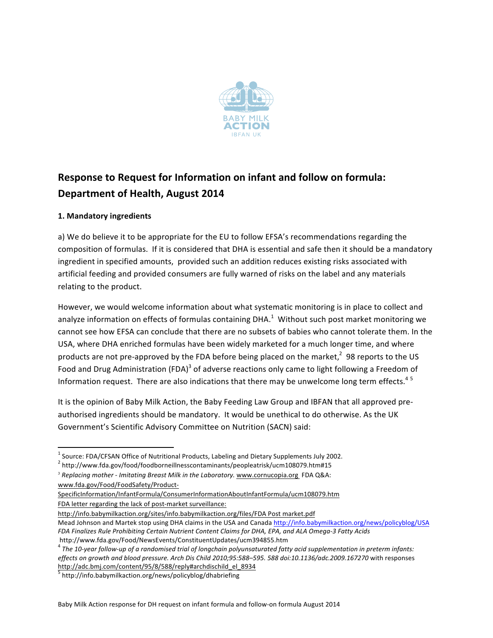

# **Response to Request for Information on infant and follow on formula: Department of Health, August 2014**

## **1. Mandatory ingredients**

a) We do believe it to be appropriate for the EU to follow EFSA's recommendations regarding the composition of formulas. If it is considered that DHA is essential and safe then it should be a mandatory ingredient in specified amounts, provided such an addition reduces existing risks associated with artificial feeding and provided consumers are fully warned of risks on the label and any materials relating to the product.

However, we would welcome information about what systematic monitoring is in place to collect and analyze information on effects of formulas containing DHA.<sup>1</sup> Without such post market monitoring we cannot see how EFSA can conclude that there are no subsets of babies who cannot tolerate them. In the USA, where DHA enriched formulas have been widely marketed for a much longer time, and where products are not pre-approved by the FDA before being placed on the market,<sup>2</sup> 98 reports to the US Food and Drug Administration  $(FDA)^3$  of adverse reactions only came to light following a Freedom of Information request. There are also indications that there may be unwelcome long term effects.<sup>45</sup>

It is the opinion of Baby Milk Action, the Baby Feeding Law Group and IBFAN that all approved preauthorised ingredients should be mandatory. It would be unethical to do otherwise. As the UK Government's Scientific Advisory Committee on Nutrition (SACN) said:

http://info.babymilkaction.org/sites/info.babymilkaction.org/files/FDA Post market.pdf

Mead Johnson and Martek stop using DHA claims in the USA and Canada http://info.babymilkaction.org/news/policyblog/USA *FDA Finalizes Rule Prohibiting Certain Nutrient Content Claims for DHA, EPA, and ALA Omega-3 Fatty Acids* http://www.fda.gov/Food/NewsEvents/ConstituentUpdates/ucm394855.htm

 $<sup>1</sup>$  Source: FDA/CFSAN Office of Nutritional Products, Labeling and Dietary Supplements July 2002.</sup>

<sup>2</sup> http://www.fda.gov/food/foodborneillnesscontaminants/peopleatrisk/ucm108079.htm#15

<sup>&</sup>lt;sup>3</sup> Replacing mother - *Imitating Breast Milk in the Laboratory*. www.cornucopia.org FDA Q&A: www.fda.gov/Food/FoodSafety/Product-

SpecificInformation/InfantFormula/ConsumerInformationAboutInfantFormula/ucm108079.htm FDA letter regarding the lack of post-market surveillance:

<sup>&</sup>lt;sup>4</sup> The 10-year follow-up of a randomised trial of longchain polyunsaturated fatty acid supplementation in preterm infants: effects on growth and blood pressure. Arch Dis Child 2010;95:588–595. 588 doi:10.1136/adc.2009.167270 with responses http://adc.bmj.com/content/95/8/588/reply#archdischild\_el\_8934

<sup>&</sup>lt;sup>5</sup> http://info.babymilkaction.org/news/policyblog/dhabriefing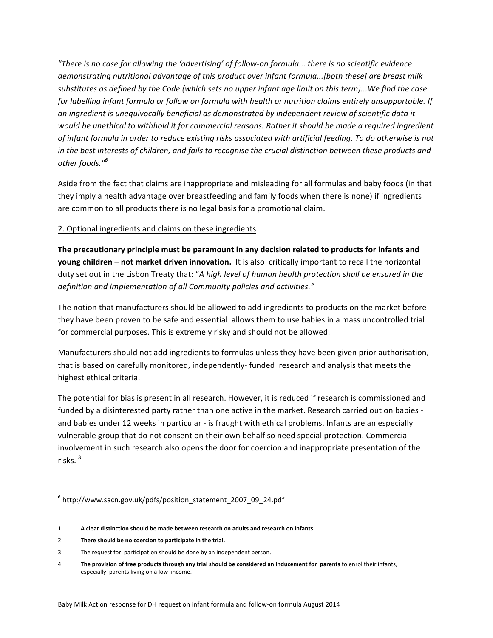*"There is no case for allowing the 'advertising' of follow-on formula... there is no scientific evidence demonstrating nutritional advantage of this product over infant formula...[both these] are breast milk* substitutes as defined by the Code (which sets no upper infant age limit on this term)...We find the case for labelling infant formula or follow on formula with health or nutrition claims entirely unsupportable. If an ingredient is unequivocally beneficial as demonstrated by independent review of scientific data it would be unethical to withhold it for commercial reasons. Rather it should be made a required ingredient of infant formula in order to reduce existing risks associated with artificial feeding. To do otherwise is not *in* the best interests of children, and fails to recognise the crucial distinction between these products and *other foods."<sup>6</sup>*

Aside from the fact that claims are inappropriate and misleading for all formulas and baby foods (in that they imply a health advantage over breastfeeding and family foods when there is none) if ingredients are common to all products there is no legal basis for a promotional claim.

## 2. Optional ingredients and claims on these ingredients

The precautionary principle must be paramount in any decision related to products for infants and **young children** – not market driven innovation. It is also critically important to recall the horizontal duty set out in the Lisbon Treaty that: "A high level of human health protection shall be ensured in the definition and implementation of all Community policies and activities."

The notion that manufacturers should be allowed to add ingredients to products on the market before they have been proven to be safe and essential allows them to use babies in a mass uncontrolled trial for commercial purposes. This is extremely risky and should not be allowed.

Manufacturers should not add ingredients to formulas unless they have been given prior authorisation, that is based on carefully monitored, independently- funded research and analysis that meets the highest ethical criteria.

The potential for bias is present in all research. However, it is reduced if research is commissioned and funded by a disinterested party rather than one active in the market. Research carried out on babies and babies under 12 weeks in particular - is fraught with ethical problems. Infants are an especially vulnerable group that do not consent on their own behalf so need special protection. Commercial involvement in such research also opens the door for coercion and inappropriate presentation of the risks.<sup>8</sup>

- 2. There should be no coercion to participate in the trial.
- 3. The request for participation should be done by an independent person.
- 4. The provision of free products through any trial should be considered an inducement for parents to enrol their infants, especially parents living on a low income.

 <sup>6</sup> http://www.sacn.gov.uk/pdfs/position\_statement\_2007\_09\_24.pdf

<sup>1.</sup> **A** clear distinction should be made between research on adults and research on infants.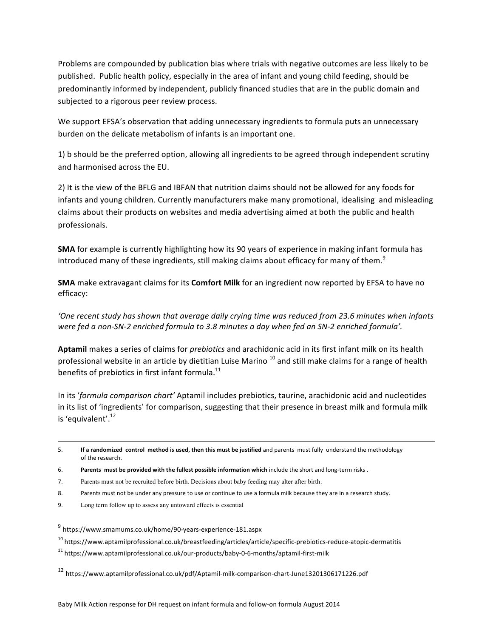Problems are compounded by publication bias where trials with negative outcomes are less likely to be published. Public health policy, especially in the area of infant and young child feeding, should be predominantly informed by independent, publicly financed studies that are in the public domain and subjected to a rigorous peer review process.

We support EFSA's observation that adding unnecessary ingredients to formula puts an unnecessary burden on the delicate metabolism of infants is an important one.

1) b should be the preferred option, allowing all ingredients to be agreed through independent scrutiny and harmonised across the EU.

2) It is the view of the BFLG and IBFAN that nutrition claims should not be allowed for any foods for infants and young children. Currently manufacturers make many promotional, idealising and misleading claims about their products on websites and media advertising aimed at both the public and health professionals.

**SMA** for example is currently highlighting how its 90 years of experience in making infant formula has introduced many of these ingredients, still making claims about efficacy for many of them.<sup>9</sup>

**SMA** make extravagant claims for its **Comfort Milk** for an ingredient now reported by EFSA to have no efficacy:

'One recent study has shown that average daily crying time was reduced from 23.6 minutes when infants were fed a non-SN-2 enriched formula to 3.8 minutes a day when fed an SN-2 enriched formula'.

Aptamil makes a series of claims for *prebiotics* and arachidonic acid in its first infant milk on its health professional website in an article by dietitian Luise Marino  $^{10}$  and still make claims for a range of health benefits of prebiotics in first infant formula. $^{11}$ 

In its 'formula comparison chart' Aptamil includes prebiotics, taurine, arachidonic acid and nucleotides in its list of 'ingredients' for comparison, suggesting that their presence in breast milk and formula milk is 'equivalent'. $^{12}$ 

<u> 1989 - Andrea Santa Andrea Andrea Andrea Andrea Andrea Andrea Andrea Andrea Andrea Andrea Andrea Andrea Andr</u>

- 8. Parents must not be under any pressure to use or continue to use a formula milk because they are in a research study.
- 9. Long term follow up to assess any untoward effects is essential

<sup>9</sup> https://www.smamums.co.uk/home/90-years-experience-181.aspx

<sup>10</sup> https://www.aptamilprofessional.co.uk/breastfeeding/articles/article/specific-prebiotics-reduce-atopic-dermatitis

<sup>11</sup> https://www.aptamilprofessional.co.uk/our-products/baby-0-6-months/aptamil-first-milk

<sup>12</sup> https://www.aptamilprofessional.co.uk/pdf/Aptamil-milk-comparison-chart-June13201306171226.pdf

<sup>5.</sup> **If a randomized control method is used, then this must be justified and parents must fully understand the methodology** of the research.

<sup>6.</sup> **Parents must be provided with the fullest possible information which** include the short and long-term risks .

<sup>7.</sup> Parents must not be recruited before birth. Decisions about baby feeding may alter after birth.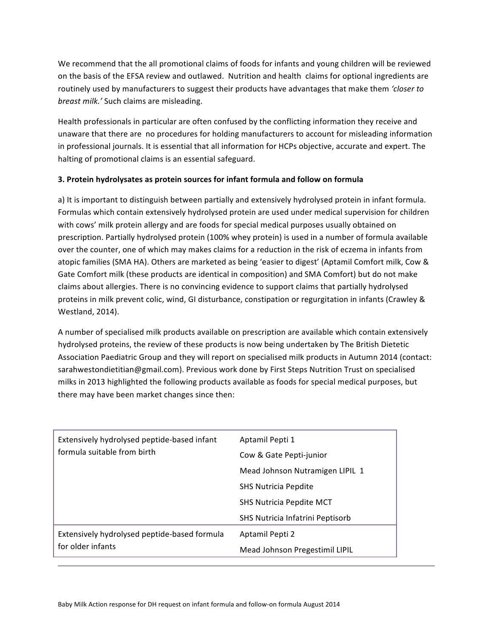We recommend that the all promotional claims of foods for infants and young children will be reviewed on the basis of the EFSA review and outlawed. Nutrition and health claims for optional ingredients are routinely used by manufacturers to suggest their products have advantages that make them *'closer to breast milk.'* Such claims are misleading.

Health professionals in particular are often confused by the conflicting information they receive and unaware that there are no procedures for holding manufacturers to account for misleading information in professional journals. It is essential that all information for HCPs objective, accurate and expert. The halting of promotional claims is an essential safeguard.

## **3. Protein hydrolysates as protein sources for infant formula and follow on formula**

a) It is important to distinguish between partially and extensively hydrolysed protein in infant formula. Formulas which contain extensively hydrolysed protein are used under medical supervision for children with cows' milk protein allergy and are foods for special medical purposes usually obtained on prescription. Partially hydrolysed protein (100% whey protein) is used in a number of formula available over the counter, one of which may makes claims for a reduction in the risk of eczema in infants from atopic families (SMA HA). Others are marketed as being 'easier to digest' (Aptamil Comfort milk, Cow & Gate Comfort milk (these products are identical in composition) and SMA Comfort) but do not make claims about allergies. There is no convincing evidence to support claims that partially hydrolysed proteins in milk prevent colic, wind, GI disturbance, constipation or regurgitation in infants (Crawley & Westland, 2014).

A number of specialised milk products available on prescription are available which contain extensively hydrolysed proteins, the review of these products is now being undertaken by The British Dietetic Association Paediatric Group and they will report on specialised milk products in Autumn 2014 (contact: sarahwestondietitian@gmail.com). Previous work done by First Steps Nutrition Trust on specialised milks in 2013 highlighted the following products available as foods for special medical purposes, but there may have been market changes since then:

| Extensively hydrolysed peptide-based infant<br>formula suitable from birth | Aptamil Pepti 1                  |
|----------------------------------------------------------------------------|----------------------------------|
|                                                                            | Cow & Gate Pepti-junior          |
|                                                                            | Mead Johnson Nutramigen LIPIL 1  |
|                                                                            | <b>SHS Nutricia Pepdite</b>      |
|                                                                            | <b>SHS Nutricia Pepdite MCT</b>  |
|                                                                            | SHS Nutricia Infatrini Peptisorb |
| Extensively hydrolysed peptide-based formula<br>for older infants          | Aptamil Pepti 2                  |
|                                                                            | Mead Johnson Pregestimil LIPIL   |

<u> 1989 - Andrea Santa Andrea Andrea Andrea Andrea Andrea Andrea Andrea Andrea Andrea Andrea Andrea Andrea Andr</u>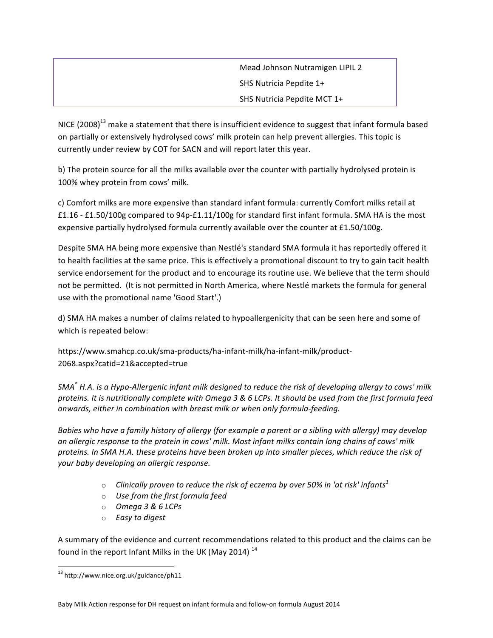Mead Johnson Nutramigen LIPIL 2 SHS Nutricia Pepdite 1+ SHS Nutricia Pepdite MCT 1+

NICE  $(2008)^{13}$  make a statement that there is insufficient evidence to suggest that infant formula based on partially or extensively hydrolysed cows' milk protein can help prevent allergies. This topic is currently under review by COT for SACN and will report later this year.

b) The protein source for all the milks available over the counter with partially hydrolysed protein is 100% whey protein from cows' milk.

c) Comfort milks are more expensive than standard infant formula: currently Comfort milks retail at £1.16 - £1.50/100g compared to 94p-£1.11/100g for standard first infant formula. SMA HA is the most expensive partially hydrolysed formula currently available over the counter at £1.50/100g.

Despite SMA HA being more expensive than Nestlé's standard SMA formula it has reportedly offered it to health facilities at the same price. This is effectively a promotional discount to try to gain tacit health service endorsement for the product and to encourage its routine use. We believe that the term should not be permitted. (It is not permitted in North America, where Nestlé markets the formula for general use with the promotional name 'Good Start'.)

d) SMA HA makes a number of claims related to hypoallergenicity that can be seen here and some of which is repeated below:

https://www.smahcp.co.uk/sma-products/ha-infant-milk/ha-infant-milk/product-2068.aspx?catid=21&accepted=true

*SMA*<sup>®</sup> *H.A.* is a Hypo-Allergenic infant milk designed to reduce the risk of developing allergy to cows' milk proteins. It is nutritionally complete with Omega 3 & 6 LCPs. It should be used from the first formula feed *onwards, either in combination with breast milk or when only formula-feeding.* 

*Babies* who have a family history of allergy (for example a parent or a sibling with allergy) may develop an allergic response to the protein in cows' milk. Most infant milks contain long chains of cows' milk proteins. In SMA H.A. these proteins have been broken up into smaller pieces, which reduce the risk of *your baby developing an allergic response.*

- $\circ$  *Clinically proven to reduce the risk of eczema by over 50% in 'at risk' infants*<sup>1</sup>
- o *Use from the first formula feed*
- o *Omega 3 & 6 LCPs*
- o *Easy to digest*

A summary of the evidence and current recommendations related to this product and the claims can be found in the report Infant Milks in the UK (May 2014)<sup>14</sup>

<sup>&</sup>lt;sup>13</sup> http://www.nice.org.uk/guidance/ph11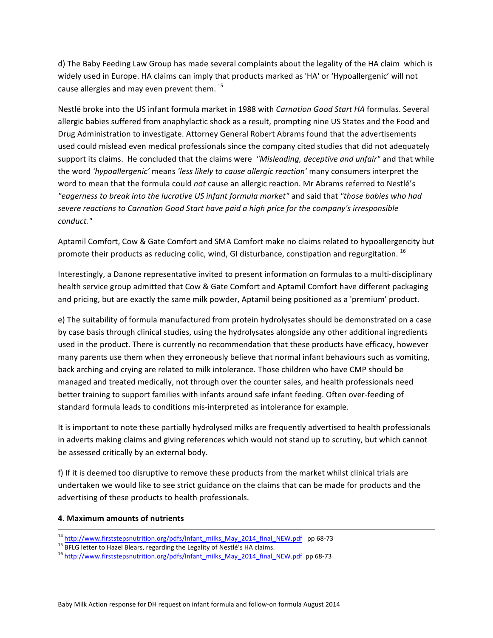d) The Baby Feeding Law Group has made several complaints about the legality of the HA claim which is widely used in Europe. HA claims can imply that products marked as 'HA' or 'Hypoallergenic' will not cause allergies and may even prevent them.<sup>15</sup>

Nestlé broke into the US infant formula market in 1988 with *Carnation Good Start HA* formulas. Several allergic babies suffered from anaphylactic shock as a result, prompting nine US States and the Food and Drug Administration to investigate. Attorney General Robert Abrams found that the advertisements used could mislead even medical professionals since the company cited studies that did not adequately support its claims. He concluded that the claims were *"Misleading, deceptive and unfair"* and that while the word 'hypoallergenic' means 'less likely to cause allergic reaction' many consumers interpret the word to mean that the formula could not cause an allergic reaction. Mr Abrams referred to Nestlé's *"eagerness to break into the lucrative US infant formula market"* and said that *"those babies who had*  severe reactions to Carnation Good Start have paid a high price for the company's irresponsible *conduct."*

Aptamil Comfort, Cow & Gate Comfort and SMA Comfort make no claims related to hypoallergencity but promote their products as reducing colic, wind, GI disturbance, constipation and regurgitation.  $^{16}$ 

Interestingly, a Danone representative invited to present information on formulas to a multi-disciplinary health service group admitted that Cow & Gate Comfort and Aptamil Comfort have different packaging and pricing, but are exactly the same milk powder, Aptamil being positioned as a 'premium' product.

e) The suitability of formula manufactured from protein hydrolysates should be demonstrated on a case by case basis through clinical studies, using the hydrolysates alongside any other additional ingredients used in the product. There is currently no recommendation that these products have efficacy, however many parents use them when they erroneously believe that normal infant behaviours such as vomiting, back arching and crying are related to milk intolerance. Those children who have CMP should be managed and treated medically, not through over the counter sales, and health professionals need better training to support families with infants around safe infant feeding. Often over-feeding of standard formula leads to conditions mis-interpreted as intolerance for example.

It is important to note these partially hydrolysed milks are frequently advertised to health professionals in adverts making claims and giving references which would not stand up to scrutiny, but which cannot be assessed critically by an external body.

f) If it is deemed too disruptive to remove these products from the market whilst clinical trials are undertaken we would like to see strict guidance on the claims that can be made for products and the advertising of these products to health professionals.

## **4. Maximum amounts of nutrients**

<sup>&</sup>lt;sup>14</sup> http://www.firststepsnutrition.org/pdfs/Infant\_milks\_May\_2014\_final\_NEW.pdf\_pp 68-73<br><sup>15</sup> BFLG letter to Hazel Blears, regarding the Legality of Nestlé's HA claims.<br><sup>16</sup> http://www.firststep<u>snutrition.org/pdfs/Infan</u>